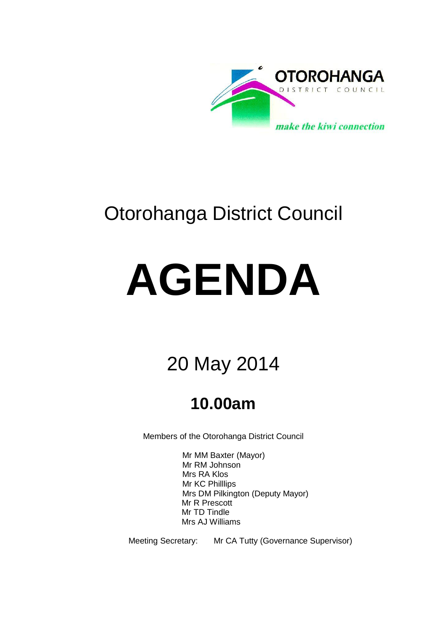

## Otorohanga District Council

# **AGENDA**

# 20 May 2014

### **10.00am**

Members of the Otorohanga District Council

Mr MM Baxter (Mayor) Mr RM Johnson Mrs RA Klos Mr KC Philllips Mrs DM Pilkington (Deputy Mayor) Mr R Prescott Mr TD Tindle Mrs AJ Williams

Meeting Secretary: Mr CA Tutty (Governance Supervisor)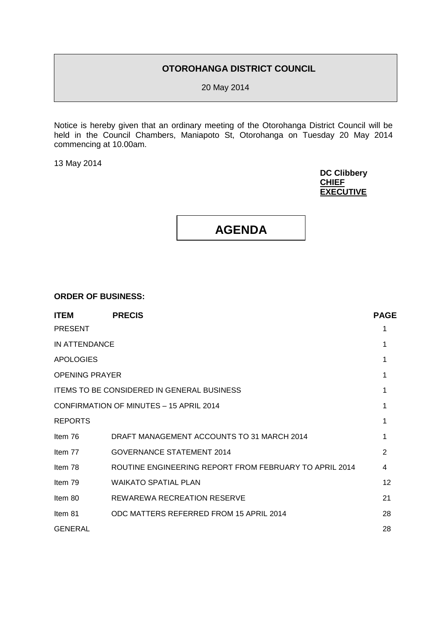### **OTOROHANGA DISTRICT COUNCIL**

20 May 2014

Notice is hereby given that an ordinary meeting of the Otorohanga District Council will be held in the Council Chambers, Maniapoto St, Otorohanga on Tuesday 20 May 2014 commencing at 10.00am.

13 May 2014

**DC Clibbery CHIEF EXECUTIVE**

**AGENDA**

### **ORDER OF BUSINESS:**

| <b>ITEM</b>                                       | <b>PRECIS</b>                                          | <b>PAGE</b>       |
|---------------------------------------------------|--------------------------------------------------------|-------------------|
| <b>PRESENT</b>                                    |                                                        | 1                 |
| IN ATTENDANCE                                     |                                                        |                   |
| <b>APOLOGIES</b>                                  |                                                        |                   |
| <b>OPENING PRAYER</b>                             |                                                        |                   |
| <b>ITEMS TO BE CONSIDERED IN GENERAL BUSINESS</b> |                                                        |                   |
| CONFIRMATION OF MINUTES - 15 APRIL 2014           |                                                        |                   |
| <b>REPORTS</b>                                    |                                                        |                   |
| Item 76                                           | DRAFT MANAGEMENT ACCOUNTS TO 31 MARCH 2014             | 1                 |
| Item 77                                           | <b>GOVERNANCE STATEMENT 2014</b>                       | 2                 |
| Item 78                                           | ROUTINE ENGINEERING REPORT FROM FEBRUARY TO APRIL 2014 | 4                 |
| Item 79                                           | <b>WAIKATO SPATIAL PLAN</b>                            | $12 \overline{ }$ |
| Item 80                                           | REWAREWA RECREATION RESERVE                            | 21                |
| Item 81                                           | ODC MATTERS REFERRED FROM 15 APRIL 2014                | 28                |
| <b>GENERAL</b>                                    |                                                        | 28                |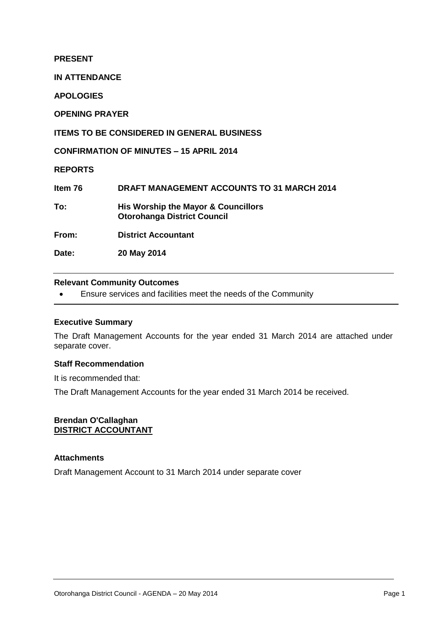**PRESENT**

**IN ATTENDANCE**

**APOLOGIES**

**OPENING PRAYER**

**ITEMS TO BE CONSIDERED IN GENERAL BUSINESS**

**CONFIRMATION OF MINUTES – 15 APRIL 2014**

**REPORTS**

**Item 76 DRAFT MANAGEMENT ACCOUNTS TO 31 MARCH 2014 To: His Worship the Mayor & Councillors Otorohanga District Council From: District Accountant Date: 20 May 2014**

### **Relevant Community Outcomes**

Ensure services and facilities meet the needs of the Community

### **Executive Summary**

The Draft Management Accounts for the year ended 31 March 2014 are attached under separate cover.

### **Staff Recommendation**

It is recommended that:

The Draft Management Accounts for the year ended 31 March 2014 be received.

### **Brendan O'Callaghan DISTRICT ACCOUNTANT**

### **Attachments**

Draft Management Account to 31 March 2014 under separate cover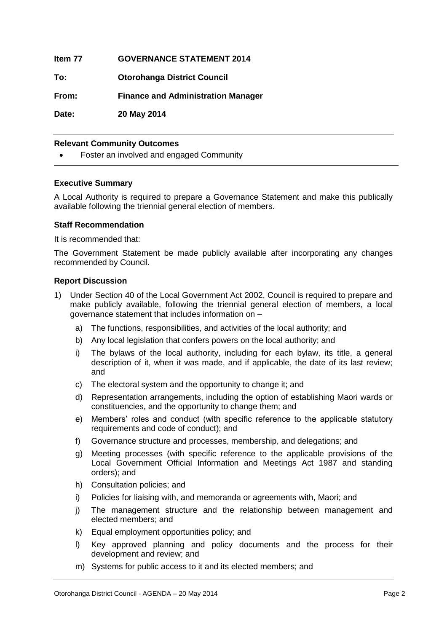**Item 77 GOVERNANCE STATEMENT 2014 To: Otorohanga District Council From: Finance and Administration Manager Date: 20 May 2014**

### **Relevant Community Outcomes**

Foster an involved and engaged Community

### **Executive Summary**

A Local Authority is required to prepare a Governance Statement and make this publically available following the triennial general election of members.

### **Staff Recommendation**

It is recommended that:

The Government Statement be made publicly available after incorporating any changes recommended by Council.

### **Report Discussion**

- 1) Under Section 40 of the Local Government Act 2002, Council is required to prepare and make publicly available, following the triennial general election of members, a local governance statement that includes information on –
	- a) The functions, responsibilities, and activities of the local authority; and
	- b) Any local legislation that confers powers on the local authority; and
	- i) The bylaws of the local authority, including for each bylaw, its title, a general description of it, when it was made, and if applicable, the date of its last review; and
	- c) The electoral system and the opportunity to change it; and
	- d) Representation arrangements, including the option of establishing Maori wards or constituencies, and the opportunity to change them; and
	- e) Members' roles and conduct (with specific reference to the applicable statutory requirements and code of conduct); and
	- f) Governance structure and processes, membership, and delegations; and
	- g) Meeting processes (with specific reference to the applicable provisions of the Local Government Official Information and Meetings Act 1987 and standing orders); and
	- h) Consultation policies; and
	- i) Policies for liaising with, and memoranda or agreements with, Maori; and
	- j) The management structure and the relationship between management and elected members; and
	- k) Equal employment opportunities policy; and
	- l) Key approved planning and policy documents and the process for their development and review; and
	- m) Systems for public access to it and its elected members; and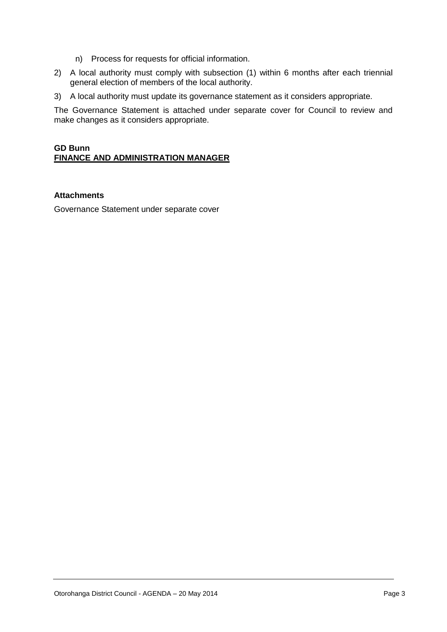- n) Process for requests for official information.
- 2) A local authority must comply with subsection (1) within 6 months after each triennial general election of members of the local authority.
- 3) A local authority must update its governance statement as it considers appropriate.

The Governance Statement is attached under separate cover for Council to review and make changes as it considers appropriate.

### **GD Bunn FINANCE AND ADMINISTRATION MANAGER**

### **Attachments**

Governance Statement under separate cover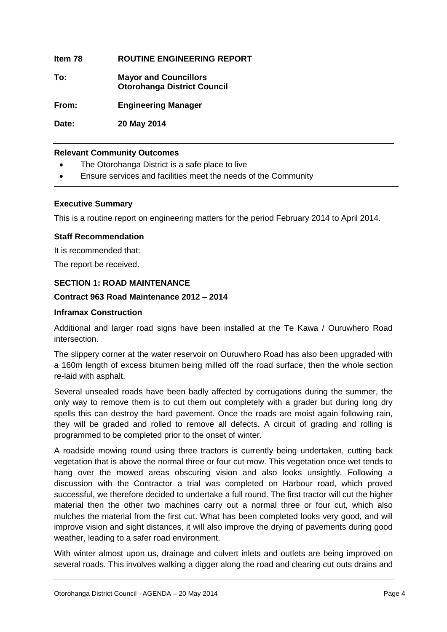### **Item 78 ROUTINE ENGINEERING REPORT**

**To: Mayor and Councillors Otorohanga District Council**

**From: Engineering Manager**

**Date: 20 May 2014**

### **Relevant Community Outcomes**

- The Otorohanga District is a safe place to live
- Ensure services and facilities meet the needs of the Community

### **Executive Summary**

This is a routine report on engineering matters for the period February 2014 to April 2014.

### **Staff Recommendation**

It is recommended that:

The report be received.

### **SECTION 1: ROAD MAINTENANCE**

### **Contract 963 Road Maintenance 2012 – 2014**

### **Inframax Construction**

Additional and larger road signs have been installed at the Te Kawa / Ouruwhero Road intersection.

The slippery corner at the water reservoir on Ouruwhero Road has also been upgraded with a 160m length of excess bitumen being milled off the road surface, then the whole section re-laid with asphalt.

Several unsealed roads have been badly affected by corrugations during the summer, the only way to remove them is to cut them out completely with a grader but during long dry spells this can destroy the hard pavement. Once the roads are moist again following rain, they will be graded and rolled to remove all defects. A circuit of grading and rolling is programmed to be completed prior to the onset of winter.

A roadside mowing round using three tractors is currently being undertaken, cutting back vegetation that is above the normal three or four cut mow. This vegetation once wet tends to hang over the mowed areas obscuring vision and also looks unsightly. Following a discussion with the Contractor a trial was completed on Harbour road, which proved successful, we therefore decided to undertake a full round. The first tractor will cut the higher material then the other two machines carry out a normal three or four cut, which also mulches the material from the first cut. What has been completed looks very good, and will improve vision and sight distances, it will also improve the drying of pavements during good weather, leading to a safer road environment.

With winter almost upon us, drainage and culvert inlets and outlets are being improved on several roads. This involves walking a digger along the road and clearing cut outs drains and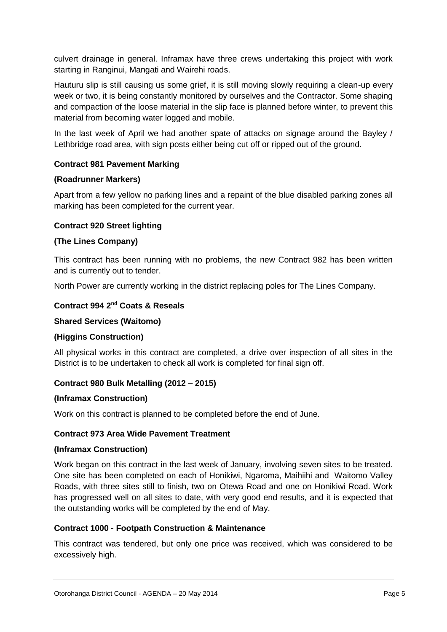culvert drainage in general. Inframax have three crews undertaking this project with work starting in Ranginui, Mangati and Wairehi roads.

Hauturu slip is still causing us some grief, it is still moving slowly requiring a clean-up every week or two, it is being constantly monitored by ourselves and the Contractor. Some shaping and compaction of the loose material in the slip face is planned before winter, to prevent this material from becoming water logged and mobile.

In the last week of April we had another spate of attacks on signage around the Bayley / Lethbridge road area, with sign posts either being cut off or ripped out of the ground.

### **Contract 981 Pavement Marking**

### **(Roadrunner Markers)**

Apart from a few yellow no parking lines and a repaint of the blue disabled parking zones all marking has been completed for the current year.

### **Contract 920 Street lighting**

### **(The Lines Company)**

This contract has been running with no problems, the new Contract 982 has been written and is currently out to tender.

North Power are currently working in the district replacing poles for The Lines Company.

### **Contract 994 2nd Coats & Reseals**

### **Shared Services (Waitomo)**

### **(Higgins Construction)**

All physical works in this contract are completed, a drive over inspection of all sites in the District is to be undertaken to check all work is completed for final sign off.

### **Contract 980 Bulk Metalling (2012 – 2015)**

### **(Inframax Construction)**

Work on this contract is planned to be completed before the end of June.

### **Contract 973 Area Wide Pavement Treatment**

### **(Inframax Construction)**

Work began on this contract in the last week of January, involving seven sites to be treated. One site has been completed on each of Honikiwi, Ngaroma, Maihiihi and Waitomo Valley Roads, with three sites still to finish, two on Otewa Road and one on Honikiwi Road. Work has progressed well on all sites to date, with very good end results, and it is expected that the outstanding works will be completed by the end of May.

### **Contract 1000 - Footpath Construction & Maintenance**

This contract was tendered, but only one price was received, which was considered to be excessively high.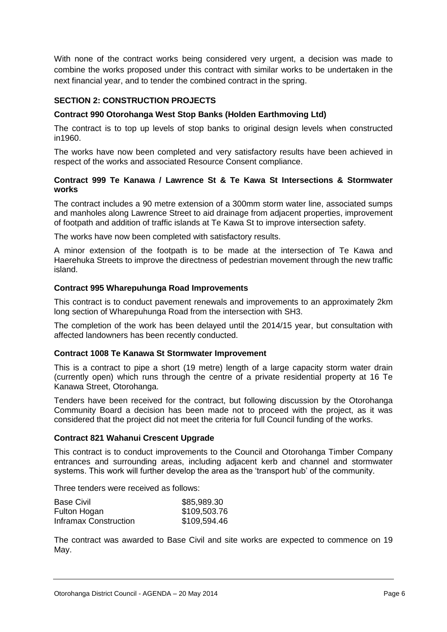With none of the contract works being considered very urgent, a decision was made to combine the works proposed under this contract with similar works to be undertaken in the next financial year, and to tender the combined contract in the spring.

### **SECTION 2: CONSTRUCTION PROJECTS**

### **Contract 990 Otorohanga West Stop Banks (Holden Earthmoving Ltd)**

The contract is to top up levels of stop banks to original design levels when constructed in1960.

The works have now been completed and very satisfactory results have been achieved in respect of the works and associated Resource Consent compliance.

### **Contract 999 Te Kanawa / Lawrence St & Te Kawa St Intersections & Stormwater works**

The contract includes a 90 metre extension of a 300mm storm water line, associated sumps and manholes along Lawrence Street to aid drainage from adjacent properties, improvement of footpath and addition of traffic islands at Te Kawa St to improve intersection safety.

The works have now been completed with satisfactory results.

A minor extension of the footpath is to be made at the intersection of Te Kawa and Haerehuka Streets to improve the directness of pedestrian movement through the new traffic island.

### **Contract 995 Wharepuhunga Road Improvements**

This contract is to conduct pavement renewals and improvements to an approximately 2km long section of Wharepuhunga Road from the intersection with SH3.

The completion of the work has been delayed until the 2014/15 year, but consultation with affected landowners has been recently conducted.

### **Contract 1008 Te Kanawa St Stormwater Improvement**

This is a contract to pipe a short (19 metre) length of a large capacity storm water drain (currently open) which runs through the centre of a private residential property at 16 Te Kanawa Street, Otorohanga.

Tenders have been received for the contract, but following discussion by the Otorohanga Community Board a decision has been made not to proceed with the project, as it was considered that the project did not meet the criteria for full Council funding of the works.

### **Contract 821 Wahanui Crescent Upgrade**

This contract is to conduct improvements to the Council and Otorohanga Timber Company entrances and surrounding areas, including adjacent kerb and channel and stormwater systems. This work will further develop the area as the 'transport hub' of the community.

Three tenders were received as follows:

| <b>Base Civil</b>     | \$85,989.30  |
|-----------------------|--------------|
| Fulton Hogan          | \$109,503.76 |
| Inframax Construction | \$109,594.46 |

The contract was awarded to Base Civil and site works are expected to commence on 19 May.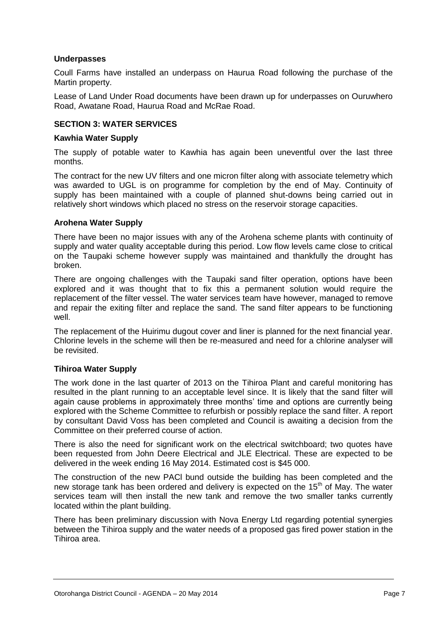### **Underpasses**

Coull Farms have installed an underpass on Haurua Road following the purchase of the Martin property.

Lease of Land Under Road documents have been drawn up for underpasses on Ouruwhero Road, Awatane Road, Haurua Road and McRae Road.

### **SECTION 3: WATER SERVICES**

### **Kawhia Water Supply**

The supply of potable water to Kawhia has again been uneventful over the last three months.

The contract for the new UV filters and one micron filter along with associate telemetry which was awarded to UGL is on programme for completion by the end of May. Continuity of supply has been maintained with a couple of planned shut-downs being carried out in relatively short windows which placed no stress on the reservoir storage capacities.

### **Arohena Water Supply**

There have been no major issues with any of the Arohena scheme plants with continuity of supply and water quality acceptable during this period. Low flow levels came close to critical on the Taupaki scheme however supply was maintained and thankfully the drought has broken.

There are ongoing challenges with the Taupaki sand filter operation, options have been explored and it was thought that to fix this a permanent solution would require the replacement of the filter vessel. The water services team have however, managed to remove and repair the exiting filter and replace the sand. The sand filter appears to be functioning well.

The replacement of the Huirimu dugout cover and liner is planned for the next financial year. Chlorine levels in the scheme will then be re-measured and need for a chlorine analyser will be revisited.

### **Tihiroa Water Supply**

The work done in the last quarter of 2013 on the Tihiroa Plant and careful monitoring has resulted in the plant running to an acceptable level since. It is likely that the sand filter will again cause problems in approximately three months' time and options are currently being explored with the Scheme Committee to refurbish or possibly replace the sand filter. A report by consultant David Voss has been completed and Council is awaiting a decision from the Committee on their preferred course of action.

There is also the need for significant work on the electrical switchboard; two quotes have been requested from John Deere Electrical and JLE Electrical. These are expected to be delivered in the week ending 16 May 2014. Estimated cost is \$45 000.

The construction of the new PACl bund outside the building has been completed and the new storage tank has been ordered and delivery is expected on the  $15<sup>th</sup>$  of May. The water services team will then install the new tank and remove the two smaller tanks currently located within the plant building.

There has been preliminary discussion with Nova Energy Ltd regarding potential synergies between the Tihiroa supply and the water needs of a proposed gas fired power station in the Tihiroa area.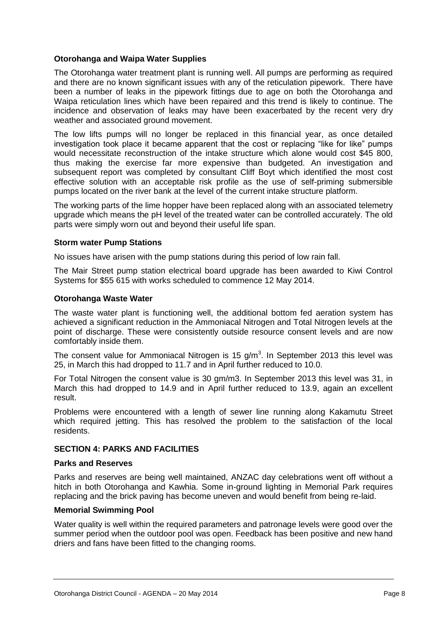### **Otorohanga and Waipa Water Supplies**

The Otorohanga water treatment plant is running well. All pumps are performing as required and there are no known significant issues with any of the reticulation pipework. There have been a number of leaks in the pipework fittings due to age on both the Otorohanga and Waipa reticulation lines which have been repaired and this trend is likely to continue. The incidence and observation of leaks may have been exacerbated by the recent very dry weather and associated ground movement.

The low lifts pumps will no longer be replaced in this financial year, as once detailed investigation took place it became apparent that the cost or replacing "like for like" pumps would necessitate reconstruction of the intake structure which alone would cost \$45 800, thus making the exercise far more expensive than budgeted. An investigation and subsequent report was completed by consultant Cliff Boyt which identified the most cost effective solution with an acceptable risk profile as the use of self-priming submersible pumps located on the river bank at the level of the current intake structure platform.

The working parts of the lime hopper have been replaced along with an associated telemetry upgrade which means the pH level of the treated water can be controlled accurately. The old parts were simply worn out and beyond their useful life span.

### **Storm water Pump Stations**

No issues have arisen with the pump stations during this period of low rain fall.

The Mair Street pump station electrical board upgrade has been awarded to Kiwi Control Systems for \$55 615 with works scheduled to commence 12 May 2014.

### **Otorohanga Waste Water**

The waste water plant is functioning well, the additional bottom fed aeration system has achieved a significant reduction in the Ammoniacal Nitrogen and Total Nitrogen levels at the point of discharge. These were consistently outside resource consent levels and are now comfortably inside them.

The consent value for Ammoniacal Nitrogen is 15  $g/m<sup>3</sup>$ . In September 2013 this level was 25, in March this had dropped to 11.7 and in April further reduced to 10.0.

For Total Nitrogen the consent value is 30 gm/m3. In September 2013 this level was 31, in March this had dropped to 14.9 and in April further reduced to 13.9, again an excellent result.

Problems were encountered with a length of sewer line running along Kakamutu Street which required jetting. This has resolved the problem to the satisfaction of the local residents.

### **SECTION 4: PARKS AND FACILITIES**

### **Parks and Reserves**

Parks and reserves are being well maintained, ANZAC day celebrations went off without a hitch in both Otorohanga and Kawhia. Some in-ground lighting in Memorial Park requires replacing and the brick paving has become uneven and would benefit from being re-laid.

### **Memorial Swimming Pool**

Water quality is well within the required parameters and patronage levels were good over the summer period when the outdoor pool was open. Feedback has been positive and new hand driers and fans have been fitted to the changing rooms.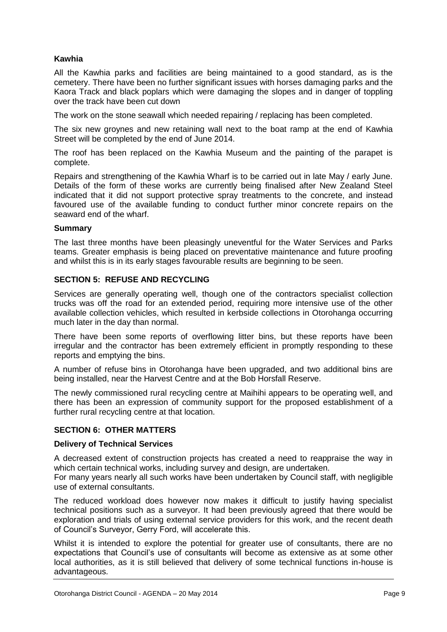### **Kawhia**

All the Kawhia parks and facilities are being maintained to a good standard, as is the cemetery. There have been no further significant issues with horses damaging parks and the Kaora Track and black poplars which were damaging the slopes and in danger of toppling over the track have been cut down

The work on the stone seawall which needed repairing / replacing has been completed.

The six new groynes and new retaining wall next to the boat ramp at the end of Kawhia Street will be completed by the end of June 2014.

The roof has been replaced on the Kawhia Museum and the painting of the parapet is complete.

Repairs and strengthening of the Kawhia Wharf is to be carried out in late May / early June. Details of the form of these works are currently being finalised after New Zealand Steel indicated that it did not support protective spray treatments to the concrete, and instead favoured use of the available funding to conduct further minor concrete repairs on the seaward end of the wharf.

### **Summary**

The last three months have been pleasingly uneventful for the Water Services and Parks teams. Greater emphasis is being placed on preventative maintenance and future proofing and whilst this is in its early stages favourable results are beginning to be seen.

### **SECTION 5: REFUSE AND RECYCLING**

Services are generally operating well, though one of the contractors specialist collection trucks was off the road for an extended period, requiring more intensive use of the other available collection vehicles, which resulted in kerbside collections in Otorohanga occurring much later in the day than normal.

There have been some reports of overflowing litter bins, but these reports have been irregular and the contractor has been extremely efficient in promptly responding to these reports and emptying the bins.

A number of refuse bins in Otorohanga have been upgraded, and two additional bins are being installed, near the Harvest Centre and at the Bob Horsfall Reserve.

The newly commissioned rural recycling centre at Maihihi appears to be operating well, and there has been an expression of community support for the proposed establishment of a further rural recycling centre at that location.

### **SECTION 6: OTHER MATTERS**

### **Delivery of Technical Services**

A decreased extent of construction projects has created a need to reappraise the way in which certain technical works, including survey and design, are undertaken.

For many years nearly all such works have been undertaken by Council staff, with negligible use of external consultants.

The reduced workload does however now makes it difficult to justify having specialist technical positions such as a surveyor. It had been previously agreed that there would be exploration and trials of using external service providers for this work, and the recent death of Council's Surveyor, Gerry Ford, will accelerate this.

Whilst it is intended to explore the potential for greater use of consultants, there are no expectations that Council's use of consultants will become as extensive as at some other local authorities, as it is still believed that delivery of some technical functions in-house is advantageous.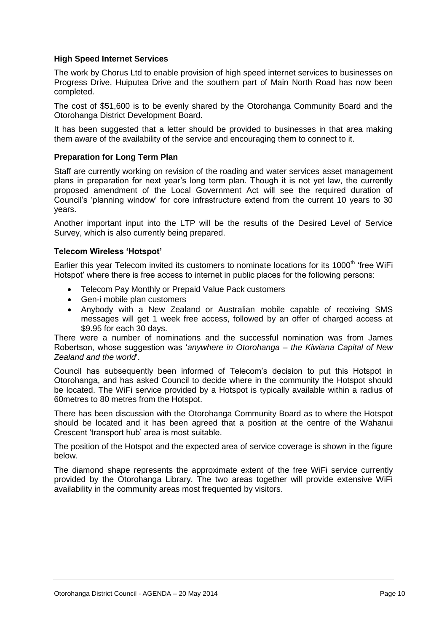### **High Speed Internet Services**

The work by Chorus Ltd to enable provision of high speed internet services to businesses on Progress Drive, Huiputea Drive and the southern part of Main North Road has now been completed.

The cost of \$51,600 is to be evenly shared by the Otorohanga Community Board and the Otorohanga District Development Board.

It has been suggested that a letter should be provided to businesses in that area making them aware of the availability of the service and encouraging them to connect to it.

### **Preparation for Long Term Plan**

Staff are currently working on revision of the roading and water services asset management plans in preparation for next year's long term plan. Though it is not yet law, the currently proposed amendment of the Local Government Act will see the required duration of Council's 'planning window' for core infrastructure extend from the current 10 years to 30 years.

Another important input into the LTP will be the results of the Desired Level of Service Survey, which is also currently being prepared.

### **Telecom Wireless 'Hotspot'**

Earlier this year Telecom invited its customers to nominate locations for its 1000<sup>th</sup> 'free WiFi Hotspot' where there is free access to internet in public places for the following persons:

- Telecom Pay Monthly or Prepaid Value Pack customers
- Gen-i mobile plan customers
- Anybody with a New Zealand or Australian mobile capable of receiving SMS messages will get 1 week free access, followed by an offer of charged access at \$9.95 for each 30 days.

There were a number of nominations and the successful nomination was from James Robertson, whose suggestion was '*anywhere in Otorohanga – the Kiwiana Capital of New Zealand and the world*'.

Council has subsequently been informed of Telecom's decision to put this Hotspot in Otorohanga, and has asked Council to decide where in the community the Hotspot should be located. The WiFi service provided by a Hotspot is typically available within a radius of 60metres to 80 metres from the Hotspot.

There has been discussion with the Otorohanga Community Board as to where the Hotspot should be located and it has been agreed that a position at the centre of the Wahanui Crescent 'transport hub' area is most suitable.

The position of the Hotspot and the expected area of service coverage is shown in the figure below.

The diamond shape represents the approximate extent of the free WiFi service currently provided by the Otorohanga Library. The two areas together will provide extensive WiFi availability in the community areas most frequented by visitors.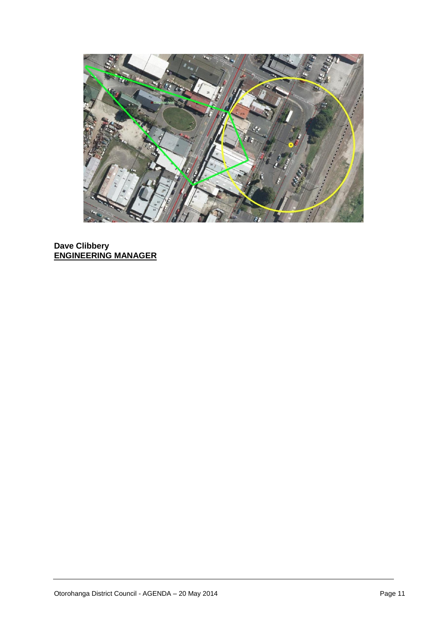

**Dave Clibbery ENGINEERING MANAGER**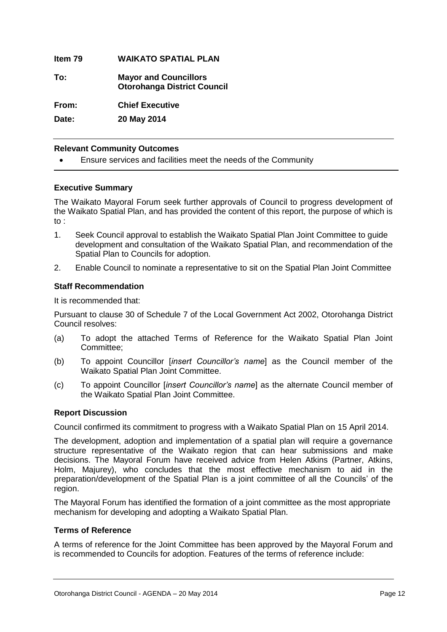**Item 79 WAIKATO SPATIAL PLAN To: Mayor and Councillors Otorohanga District Council From: Chief Executive Date: 20 May 2014**

### **Relevant Community Outcomes**

Ensure services and facilities meet the needs of the Community

### **Executive Summary**

The Waikato Mayoral Forum seek further approvals of Council to progress development of the Waikato Spatial Plan, and has provided the content of this report, the purpose of which is to :

- 1. Seek Council approval to establish the Waikato Spatial Plan Joint Committee to guide development and consultation of the Waikato Spatial Plan, and recommendation of the Spatial Plan to Councils for adoption.
- 2. Enable Council to nominate a representative to sit on the Spatial Plan Joint Committee

### **Staff Recommendation**

It is recommended that:

Pursuant to clause 30 of Schedule 7 of the Local Government Act 2002, Otorohanga District Council resolves:

- (a) To adopt the attached Terms of Reference for the Waikato Spatial Plan Joint Committee;
- (b) To appoint Councillor [*insert Councillor's name*] as the Council member of the Waikato Spatial Plan Joint Committee.
- (c) To appoint Councillor [*insert Councillor's name*] as the alternate Council member of the Waikato Spatial Plan Joint Committee.

### **Report Discussion**

Council confirmed its commitment to progress with a Waikato Spatial Plan on 15 April 2014.

The development, adoption and implementation of a spatial plan will require a governance structure representative of the Waikato region that can hear submissions and make decisions. The Mayoral Forum have received advice from Helen Atkins (Partner, Atkins, Holm, Majurey), who concludes that the most effective mechanism to aid in the preparation/development of the Spatial Plan is a joint committee of all the Councils' of the region.

The Mayoral Forum has identified the formation of a joint committee as the most appropriate mechanism for developing and adopting a Waikato Spatial Plan.

### **Terms of Reference**

A terms of reference for the Joint Committee has been approved by the Mayoral Forum and is recommended to Councils for adoption. Features of the terms of reference include: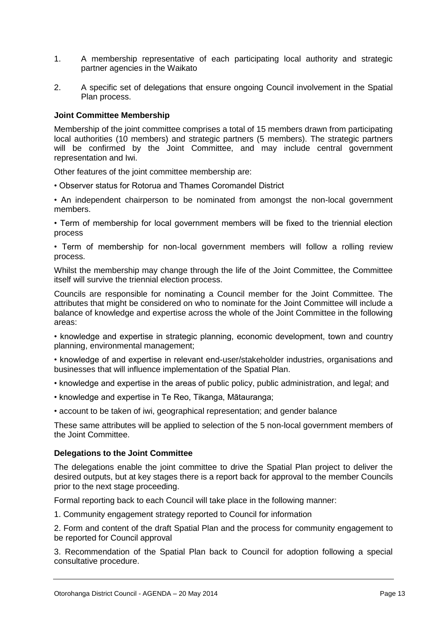- 1. A membership representative of each participating local authority and strategic partner agencies in the Waikato
- 2. A specific set of delegations that ensure ongoing Council involvement in the Spatial Plan process.

### **Joint Committee Membership**

Membership of the joint committee comprises a total of 15 members drawn from participating local authorities (10 members) and strategic partners (5 members). The strategic partners will be confirmed by the Joint Committee, and may include central government representation and Iwi.

Other features of the joint committee membership are:

• Observer status for Rotorua and Thames Coromandel District

• An independent chairperson to be nominated from amongst the non-local government members.

• Term of membership for local government members will be fixed to the triennial election process

• Term of membership for non-local government members will follow a rolling review process.

Whilst the membership may change through the life of the Joint Committee, the Committee itself will survive the triennial election process.

Councils are responsible for nominating a Council member for the Joint Committee. The attributes that might be considered on who to nominate for the Joint Committee will include a balance of knowledge and expertise across the whole of the Joint Committee in the following areas:

• knowledge and expertise in strategic planning, economic development, town and country planning, environmental management;

• knowledge of and expertise in relevant end-user/stakeholder industries, organisations and businesses that will influence implementation of the Spatial Plan.

- knowledge and expertise in the areas of public policy, public administration, and legal; and
- knowledge and expertise in Te Reo, Tikanga, Mātauranga;
- account to be taken of iwi, geographical representation; and gender balance

These same attributes will be applied to selection of the 5 non-local government members of the Joint Committee.

### **Delegations to the Joint Committee**

The delegations enable the joint committee to drive the Spatial Plan project to deliver the desired outputs, but at key stages there is a report back for approval to the member Councils prior to the next stage proceeding.

Formal reporting back to each Council will take place in the following manner:

1. Community engagement strategy reported to Council for information

2. Form and content of the draft Spatial Plan and the process for community engagement to be reported for Council approval

3. Recommendation of the Spatial Plan back to Council for adoption following a special consultative procedure.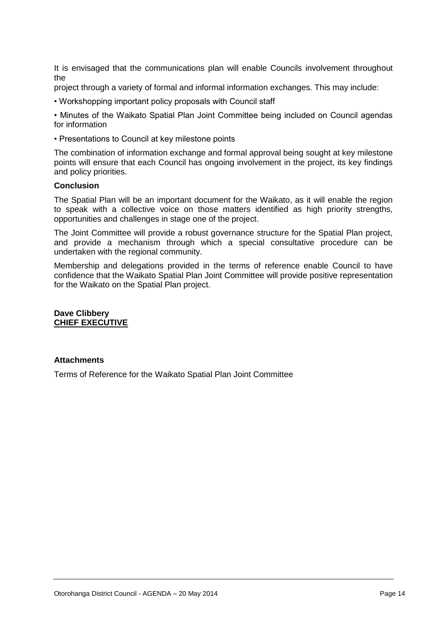It is envisaged that the communications plan will enable Councils involvement throughout the

project through a variety of formal and informal information exchanges. This may include:

• Workshopping important policy proposals with Council staff

• Minutes of the Waikato Spatial Plan Joint Committee being included on Council agendas for information

• Presentations to Council at key milestone points

The combination of information exchange and formal approval being sought at key milestone points will ensure that each Council has ongoing involvement in the project, its key findings and policy priorities.

### **Conclusion**

The Spatial Plan will be an important document for the Waikato, as it will enable the region to speak with a collective voice on those matters identified as high priority strengths, opportunities and challenges in stage one of the project.

The Joint Committee will provide a robust governance structure for the Spatial Plan project, and provide a mechanism through which a special consultative procedure can be undertaken with the regional community.

Membership and delegations provided in the terms of reference enable Council to have confidence that the Waikato Spatial Plan Joint Committee will provide positive representation for the Waikato on the Spatial Plan project.

**Dave Clibbery CHIEF EXECUTIVE**

### **Attachments**

Terms of Reference for the Waikato Spatial Plan Joint Committee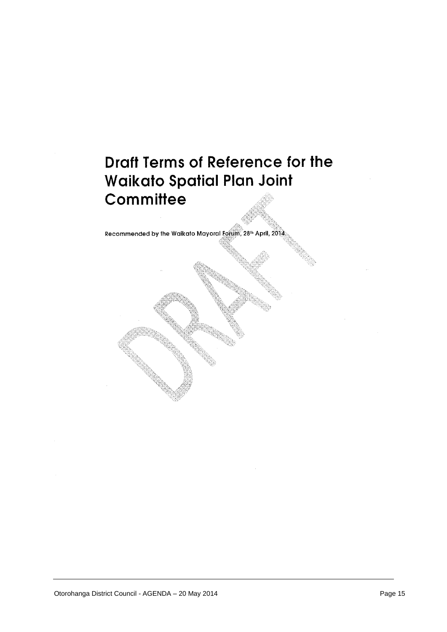### Draft Terms of Reference for the **Waikato Spatial Plan Joint** Committee

Recommended by the Waikato Mayoral Forum, 28<sup>th</sup> April, 2014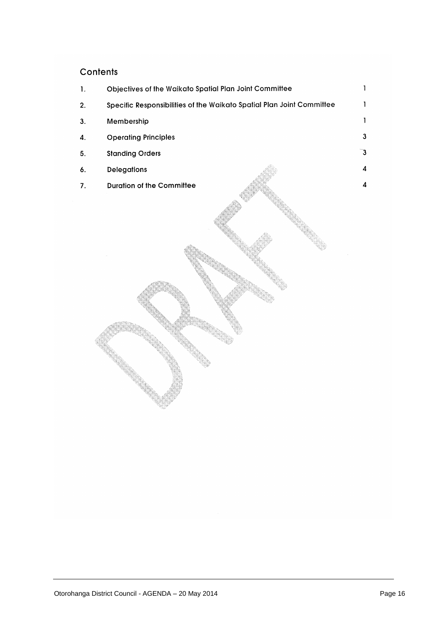### Contents

|    | Objectives of the Waikato Spatial Plan Joint Committee                |   |
|----|-----------------------------------------------------------------------|---|
| 2. | Specific Responsibilities of the Waikato Spatial Plan Joint Committee |   |
| 3. | Membership                                                            |   |
| 4. | <b>Operating Principles</b>                                           | 3 |
| 5. | <b>Standing Orders</b>                                                |   |
| 6. | <b>Delegations</b>                                                    | 4 |
| 7. | <b>Duration of the Committee</b>                                      | Δ |
|    |                                                                       |   |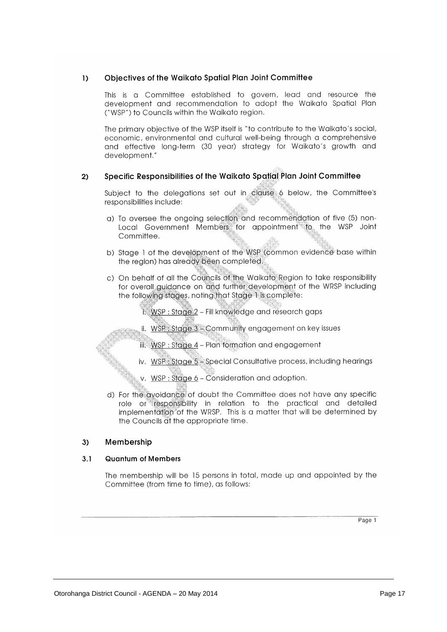### Objectives of the Waikato Spatial Plan Joint Committee  $\overline{1}$

This is a Committee established to govern, lead and resource the development and recommendation to adopt the Waikato Spatial Plan ("WSP") to Councils within the Waikato region.

The primary objective of the WSP itself is "to contribute to the Waikato's social, economic, environmental and cultural well-being through a comprehensive and effective long-term (30 year) strategy for Waikato's growth and development."

### Specific Responsibilities of the Waikato Spatial Plan Joint Committee  $2)$

Subject to the delegations set out in clause 6 below, the Committee's responsibilities include:

- a) To oversee the ongoing selection and recommendation of five (5) non-Local Government Members for appointment to the WSP Joint Committee.
- b) Stage 1 of the development of the WSP (common evidence base within the region) has already been completed.
- c) On behalf of all the Councils of the Waikato Region to take responsibility for overall quidance on and further development of the WRSP including the following stages, noting that Stage 1 is complete:
	- 1. WSP: Stage 2 Fill knowledge and research gaps
	- ii. WSP: Stage 3 Community engagement on key issues
	- iii. WSP : Stage 4 Plan formation and engagement
	- iv. WSP: Stage 5 Special Consultative process, including hearings
	- v. WSP:  $Stage 6 Consideration and adoption.$
- d) For the avoidance of doubt the Committee does not have any specific role or responsibility in relation to the practical and detailed implementation of the WRSP. This is a matter that will be determined by the Councils at the appropriate time.

### $3)$ Membership

### $3.1$ **Quantum of Members**

The membership will be 15 persons in total, made up and appointed by the Committee (from time to time), as follows: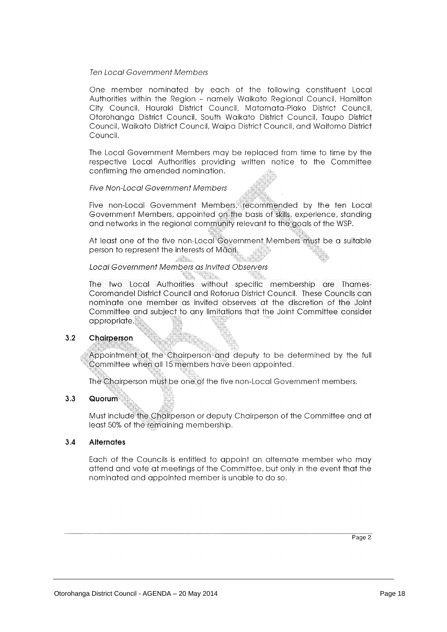### **Ten Local Government Members**

One member nominated by each of the following constituent Local Authorities within the Region - namely Waikato Regional Council, Hamilton City Council, Hauraki District Council, Matamata-Piako District Council, Otorohanga District Council, South Waikato District Council, Taupo District Council, Waikato District Council, Waipa District Council, and Waitomo District Council.

The Local Government Members may be replaced from time to time by the respective Local Authorities providing written notice to the Committee confirming the amended nomination.

### **Five Non-Local Government Members**

Five non-Local Government Members, recommended by the ten Local Government Members, appointed on the basis of skills, experience, standing and networks in the regional community relevant to the goals of the WSP.

At least one of the five non-Local Government Members must be a suitable person to represent the interests of Maori.

### Local Government Members as Invited Observers

-lidamin

The two Local Authorities without specific membership are Thames-Coromandel District Council and Rotorua District Council. These Councils can nominate one member as invited observers at the discretion of the Joint Committee and subject to any limitations that the Joint Committee consider appropriate.

### $3.2$ Chairperson

Appointment of the Chairperson and deputy to be determined by the full Committee when all 15 members have been appointed.

The Chairperson must be one of the five non-Local Government members.

### $3.3$ Quorum

Must include the Chairperson or deputy Chairperson of the Committee and at least 50% of the remaining membership.

### $3.4$ **Alternates**

Each of the Councils is entitled to appoint an alternate member who may attend and vote at meetings of the Committee, but only in the event that the nominated and appointed member is unable to do so.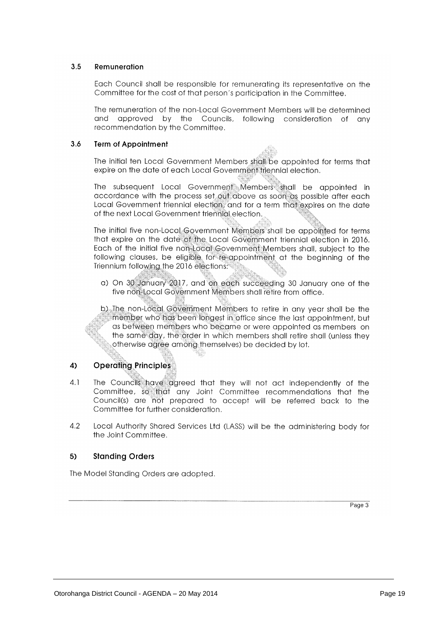### $3.5$ Remuneration

Each Council shall be responsible for remunerating its representative on the Committee for the cost of that person's participation in the Committee.

The remuneration of the non-Local Government Members will be determined and approved by the Councils, following consideration of any recommendation by the Committee.

### $3.6$ **Term of Appointment**

The initial ten Local Government Members shall be appointed for terms that expire on the date of each Local Government triennial election.

The subsequent Local Government Members shall be appointed in accordance with the process set out above as soon as possible after each Local Government triennial election, and for a term that expires on the date of the next Local Government triennial election.

The initial five non-Local Government Members shall be appointed for terms that expire on the date of the Local Government triennial election in 2016. Each of the initial five non-Local Government Members shall, subject to the following clauses, be eligible for re-appointment at the beginning of the Triennium following the 2016 elections.

a) On 30 January 2017, and on each succeeding 30 January one of the five non-Local Government Members shall retire from office.

b) The non-Local Government Members to retire in any year shall be the member who has been longest in office since the last appointment, but as between members who became or were appointed as members on the same day, the order in which members shall retire shall (unless they otherwise agree among themselves) be decided by lot.

### **Operating Principles**  $4)$

- $4.1$ The Councils have agreed that they will not act independently of the Committee, so that any Joint Committee recommendations that the Council(s) are not prepared to accept will be referred back to the Committee for further consideration.
- $4.2$ Local Authority Shared Services Ltd (LASS) will be the administering body for the Joint Committee.

### $5)$ **Standing Orders**

The Model Standing Orders are adopted.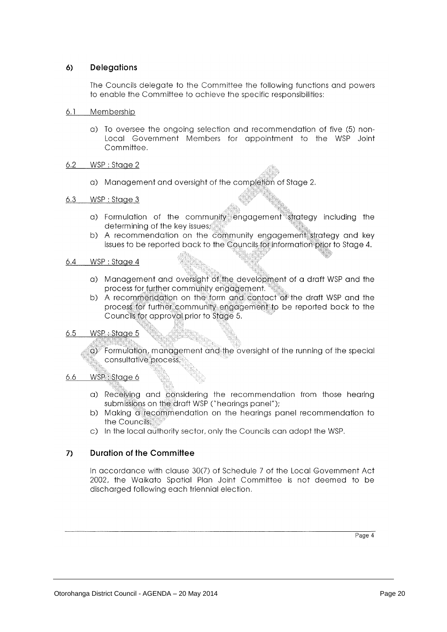### $6)$ **Delegations**

The Councils delegate to the Committee the following functions and powers to enable the Committee to achieve the specific responsibilities:

- $6.1$ Membership
	- a) To oversee the ongoing selection and recommendation of five (5) non-Local Government Members for appointment to the WSP Joint Committee.
- $6.2$ WSP: Stage 2
	- a) Management and oversight of the completion of Stage 2.

### $6.3$ WSP: Stage 3

- a) Formulation of the community engagement strategy including the determining of the key issues
- b) A recommendation on the community engagement strategy and key issues to be reported back to the Councils for information prior to Stage 4.

### $6.4$ WSP: Stage 4

- a) Management and oversight of the development of a draft WSP and the process for further community engagement.
- b) A recommendation on the form and contact of the draft WSP and the process for further community engagement to be reported back to the Councils for approval prior to Stage 5.

### $6.5$ WSP Stage 5

g) Formulation, management and the oversight of the running of the special consultative process.

### WSP: Stage 6 6.6

- a) Receiving and considering the recommendation from those hearing submissions on the draft WSP ("hearings panel");
- b) Making a recommendation on the hearings panel recommendation to the Councils.
- c) In the local authority sector, only the Councils can adopt the WSP.

### $\overline{7}$ **Duration of the Committee**

In accordance with clause 30(7) of Schedule 7 of the Local Government Act 2002, the Waikato Spatial Plan Joint Committee is not deemed to be discharged following each triennial election.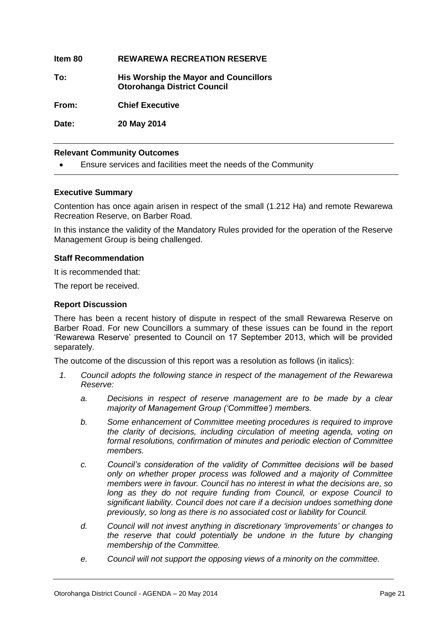**Item 80 REWAREWA RECREATION RESERVE To: His Worship the Mayor and Councillors Otorohanga District Council From: Chief Executive Date: 20 May 2014**

### **Relevant Community Outcomes**

Ensure services and facilities meet the needs of the Community

### **Executive Summary**

Contention has once again arisen in respect of the small (1.212 Ha) and remote Rewarewa Recreation Reserve, on Barber Road.

In this instance the validity of the Mandatory Rules provided for the operation of the Reserve Management Group is being challenged.

### **Staff Recommendation**

It is recommended that:

The report be received.

### **Report Discussion**

There has been a recent history of dispute in respect of the small Rewarewa Reserve on Barber Road. For new Councillors a summary of these issues can be found in the report 'Rewarewa Reserve' presented to Council on 17 September 2013, which will be provided separately.

The outcome of the discussion of this report was a resolution as follows (in italics):

- *1. Council adopts the following stance in respect of the management of the Rewarewa Reserve:*
	- *a. Decisions in respect of reserve management are to be made by a clear majority of Management Group ('Committee') members.*
	- *b. Some enhancement of Committee meeting procedures is required to improve the clarity of decisions, including circulation of meeting agenda, voting on formal resolutions, confirmation of minutes and periodic election of Committee members.*
	- *c. Council's consideration of the validity of Committee decisions will be based only on whether proper process was followed and a majority of Committee members were in favour. Council has no interest in what the decisions are, so long as they do not require funding from Council, or expose Council to significant liability. Council does not care if a decision undoes something done previously, so long as there is no associated cost or liability for Council.*
	- *d. Council will not invest anything in discretionary 'improvements' or changes to the reserve that could potentially be undone in the future by changing membership of the Committee.*
	- *e. Council will not support the opposing views of a minority on the committee.*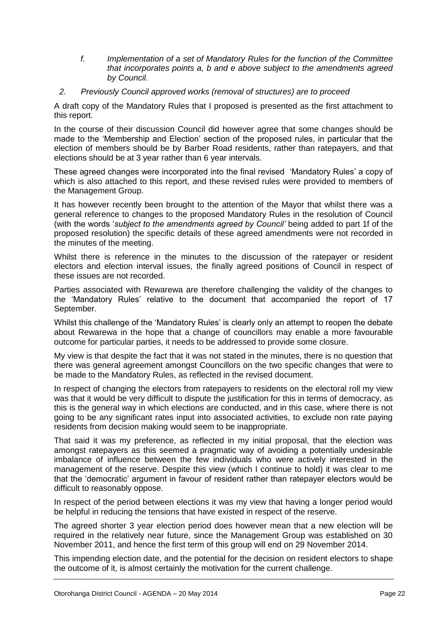- *f. Implementation of a set of Mandatory Rules for the function of the Committee that incorporates points a, b and e above subject to the amendments agreed by Council.*
- *2. Previously Council approved works (removal of structures) are to proceed*

A draft copy of the Mandatory Rules that I proposed is presented as the first attachment to this report.

In the course of their discussion Council did however agree that some changes should be made to the 'Membership and Election' section of the proposed rules, in particular that the election of members should be by Barber Road residents, rather than ratepayers, and that elections should be at 3 year rather than 6 year intervals.

These agreed changes were incorporated into the final revised 'Mandatory Rules' a copy of which is also attached to this report, *a*nd these revised rules were provided to members of the Management Group.

It has however recently been brought to the attention of the Mayor that whilst there was a general reference to changes to the proposed Mandatory Rules in the resolution of Council (with the words '*subject to the amendments agreed by Council'* being added to part 1f of the proposed resolution) the specific details of these agreed amendments were not recorded in the minutes of the meeting.

Whilst there is reference in the minutes to the discussion of the ratepayer or resident electors and election interval issues, the finally agreed positions of Council in respect of these issues are not recorded.

Parties associated with Rewarewa are therefore challenging the validity of the changes to the 'Mandatory Rules' relative to the document that accompanied the report of 17 September.

Whilst this challenge of the 'Mandatory Rules' is clearly only an attempt to reopen the debate about Rewarewa in the hope that a change of councillors may enable a more favourable outcome for particular parties, it needs to be addressed to provide some closure.

My view is that despite the fact that it was not stated in the minutes, there is no question that there was general agreement amongst Councillors on the two specific changes that were to be made to the Mandatory Rules, as reflected in the revised document.

In respect of changing the electors from ratepayers to residents on the electoral roll my view was that it would be very difficult to dispute the justification for this in terms of democracy, as this is the general way in which elections are conducted, and in this case, where there is not going to be any significant rates input into associated activities, to exclude non rate paying residents from decision making would seem to be inappropriate.

That said it was my preference, as reflected in my initial proposal, that the election was amongst ratepayers as this seemed a pragmatic way of avoiding a potentially undesirable imbalance of influence between the few individuals who were actively interested in the management of the reserve. Despite this view (which I continue to hold) it was clear to me that the 'democratic' argument in favour of resident rather than ratepayer electors would be difficult to reasonably oppose.

In respect of the period between elections it was my view that having a longer period would be helpful in reducing the tensions that have existed in respect of the reserve.

The agreed shorter 3 year election period does however mean that a new election will be required in the relatively near future, since the Management Group was established on 30 November 2011, and hence the first term of this group will end on 29 November 2014.

This impending election date, and the potential for the decision on resident electors to shape the outcome of it, is almost certainly the motivation for the current challenge.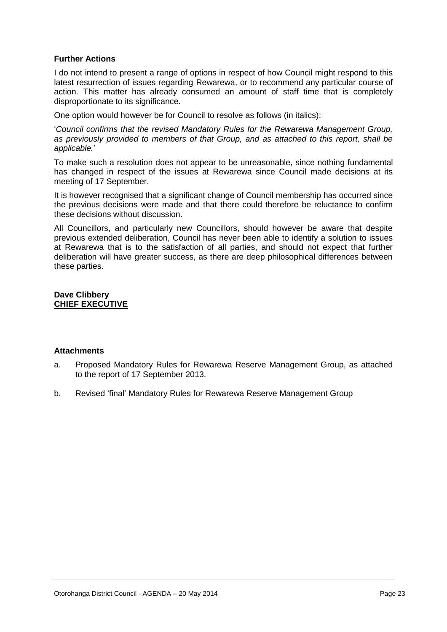### **Further Actions**

I do not intend to present a range of options in respect of how Council might respond to this latest resurrection of issues regarding Rewarewa, or to recommend any particular course of action. This matter has already consumed an amount of staff time that is completely disproportionate to its significance.

One option would however be for Council to resolve as follows (in italics):

'*Council confirms that the revised Mandatory Rules for the Rewarewa Management Group, as previously provided to members of that Group, and as attached to this report, shall be applicable.*'

To make such a resolution does not appear to be unreasonable, since nothing fundamental has changed in respect of the issues at Rewarewa since Council made decisions at its meeting of 17 September.

It is however recognised that a significant change of Council membership has occurred since the previous decisions were made and that there could therefore be reluctance to confirm these decisions without discussion.

All Councillors, and particularly new Councillors, should however be aware that despite previous extended deliberation, Council has never been able to identify a solution to issues at Rewarewa that is to the satisfaction of all parties, and should not expect that further deliberation will have greater success, as there are deep philosophical differences between these parties.

### **Dave Clibbery CHIEF EXECUTIVE**

### **Attachments**

- a. Proposed Mandatory Rules for Rewarewa Reserve Management Group, as attached to the report of 17 September 2013.
- b. Revised 'final' Mandatory Rules for Rewarewa Reserve Management Group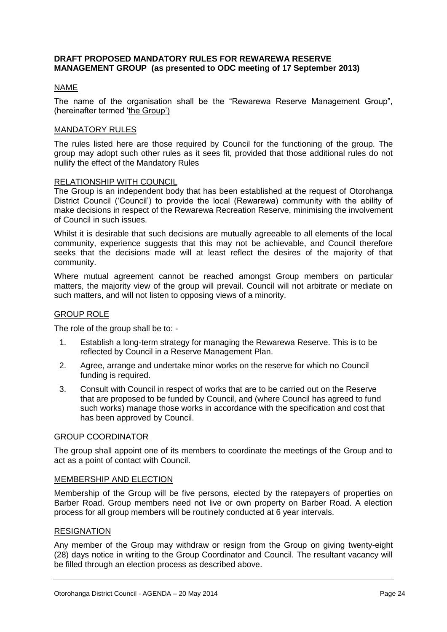### **DRAFT PROPOSED MANDATORY RULES FOR REWAREWA RESERVE MANAGEMENT GROUP (as presented to ODC meeting of 17 September 2013)**

### NAME

The name of the organisation shall be the "Rewarewa Reserve Management Group", (hereinafter termed 'the Group')

### MANDATORY RULES

The rules listed here are those required by Council for the functioning of the group. The group may adopt such other rules as it sees fit, provided that those additional rules do not nullify the effect of the Mandatory Rules

### RELATIONSHIP WITH COUNCIL

The Group is an independent body that has been established at the request of Otorohanga District Council ('Council') to provide the local (Rewarewa) community with the ability of make decisions in respect of the Rewarewa Recreation Reserve, minimising the involvement of Council in such issues.

Whilst it is desirable that such decisions are mutually agreeable to all elements of the local community, experience suggests that this may not be achievable, and Council therefore seeks that the decisions made will at least reflect the desires of the majority of that community.

Where mutual agreement cannot be reached amongst Group members on particular matters, the majority view of the group will prevail. Council will not arbitrate or mediate on such matters, and will not listen to opposing views of a minority.

### GROUP ROLE

The role of the group shall be to: -

- 1. Establish a long-term strategy for managing the Rewarewa Reserve. This is to be reflected by Council in a Reserve Management Plan.
- 2. Agree, arrange and undertake minor works on the reserve for which no Council funding is required.
- 3. Consult with Council in respect of works that are to be carried out on the Reserve that are proposed to be funded by Council, and (where Council has agreed to fund such works) manage those works in accordance with the specification and cost that has been approved by Council.

### GROUP COORDINATOR

The group shall appoint one of its members to coordinate the meetings of the Group and to act as a point of contact with Council.

### MEMBERSHIP AND ELECTION

Membership of the Group will be five persons, elected by the ratepayers of properties on Barber Road. Group members need not live or own property on Barber Road. A election process for all group members will be routinely conducted at 6 year intervals.

### **RESIGNATION**

Any member of the Group may withdraw or resign from the Group on giving twenty-eight (28) days notice in writing to the Group Coordinator and Council. The resultant vacancy will be filled through an election process as described above.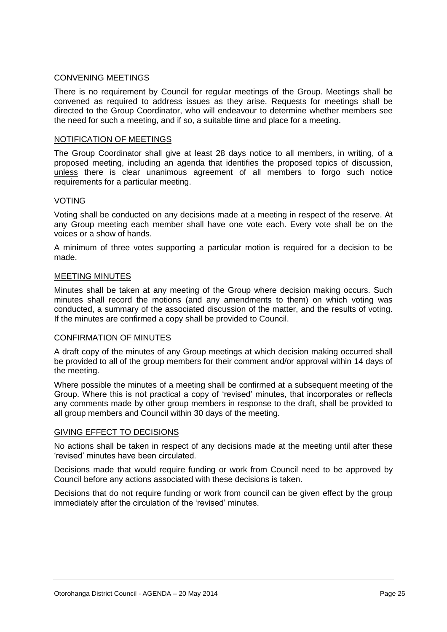### CONVENING MEETINGS

There is no requirement by Council for regular meetings of the Group. Meetings shall be convened as required to address issues as they arise. Requests for meetings shall be directed to the Group Coordinator, who will endeavour to determine whether members see the need for such a meeting, and if so, a suitable time and place for a meeting.

### NOTIFICATION OF MEETINGS

The Group Coordinator shall give at least 28 days notice to all members, in writing, of a proposed meeting, including an agenda that identifies the proposed topics of discussion, unless there is clear unanimous agreement of all members to forgo such notice requirements for a particular meeting.

### VOTING

Voting shall be conducted on any decisions made at a meeting in respect of the reserve. At any Group meeting each member shall have one vote each. Every vote shall be on the voices or a show of hands.

A minimum of three votes supporting a particular motion is required for a decision to be made.

### MEETING MINUTES

Minutes shall be taken at any meeting of the Group where decision making occurs. Such minutes shall record the motions (and any amendments to them) on which voting was conducted, a summary of the associated discussion of the matter, and the results of voting. If the minutes are confirmed a copy shall be provided to Council.

### CONFIRMATION OF MINUTES

A draft copy of the minutes of any Group meetings at which decision making occurred shall be provided to all of the group members for their comment and/or approval within 14 days of the meeting.

Where possible the minutes of a meeting shall be confirmed at a subsequent meeting of the Group. Where this is not practical a copy of 'revised' minutes, that incorporates or reflects any comments made by other group members in response to the draft, shall be provided to all group members and Council within 30 days of the meeting.

### GIVING EFFECT TO DECISIONS

No actions shall be taken in respect of any decisions made at the meeting until after these 'revised' minutes have been circulated.

Decisions made that would require funding or work from Council need to be approved by Council before any actions associated with these decisions is taken.

Decisions that do not require funding or work from council can be given effect by the group immediately after the circulation of the 'revised' minutes.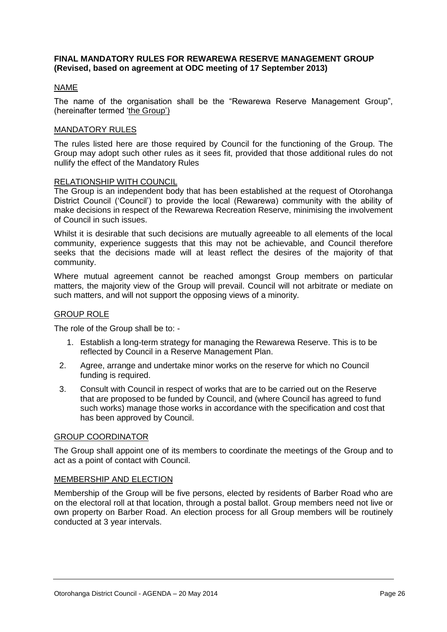### **FINAL MANDATORY RULES FOR REWAREWA RESERVE MANAGEMENT GROUP (Revised, based on agreement at ODC meeting of 17 September 2013)**

### NAME

The name of the organisation shall be the "Rewarewa Reserve Management Group", (hereinafter termed 'the Group')

### MANDATORY RULES

The rules listed here are those required by Council for the functioning of the Group. The Group may adopt such other rules as it sees fit, provided that those additional rules do not nullify the effect of the Mandatory Rules

### RELATIONSHIP WITH COUNCIL

The Group is an independent body that has been established at the request of Otorohanga District Council ('Council') to provide the local (Rewarewa) community with the ability of make decisions in respect of the Rewarewa Recreation Reserve, minimising the involvement of Council in such issues.

Whilst it is desirable that such decisions are mutually agreeable to all elements of the local community, experience suggests that this may not be achievable, and Council therefore seeks that the decisions made will at least reflect the desires of the majority of that community.

Where mutual agreement cannot be reached amongst Group members on particular matters, the majority view of the Group will prevail. Council will not arbitrate or mediate on such matters, and will not support the opposing views of a minority.

### GROUP ROLE

The role of the Group shall be to: -

- 1. Establish a long-term strategy for managing the Rewarewa Reserve. This is to be reflected by Council in a Reserve Management Plan.
- 2. Agree, arrange and undertake minor works on the reserve for which no Council funding is required.
- 3. Consult with Council in respect of works that are to be carried out on the Reserve that are proposed to be funded by Council, and (where Council has agreed to fund such works) manage those works in accordance with the specification and cost that has been approved by Council.

### GROUP COORDINATOR

The Group shall appoint one of its members to coordinate the meetings of the Group and to act as a point of contact with Council.

### MEMBERSHIP AND ELECTION

Membership of the Group will be five persons, elected by residents of Barber Road who are on the electoral roll at that location, through a postal ballot. Group members need not live or own property on Barber Road. An election process for all Group members will be routinely conducted at 3 year intervals.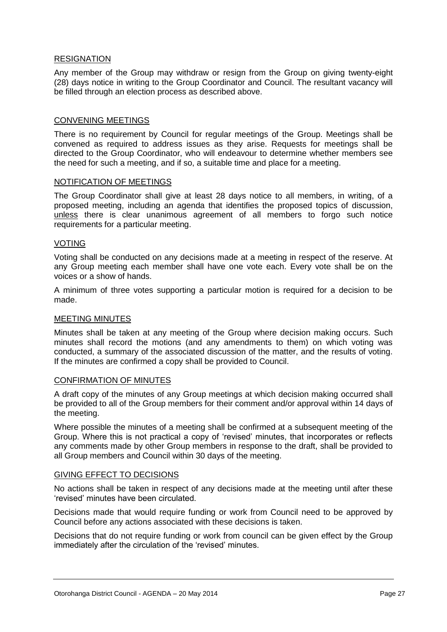### RESIGNATION

Any member of the Group may withdraw or resign from the Group on giving twenty-eight (28) days notice in writing to the Group Coordinator and Council. The resultant vacancy will be filled through an election process as described above.

### CONVENING MEETINGS

There is no requirement by Council for regular meetings of the Group. Meetings shall be convened as required to address issues as they arise. Requests for meetings shall be directed to the Group Coordinator, who will endeavour to determine whether members see the need for such a meeting, and if so, a suitable time and place for a meeting.

### NOTIFICATION OF MEETINGS

The Group Coordinator shall give at least 28 days notice to all members, in writing, of a proposed meeting, including an agenda that identifies the proposed topics of discussion, unless there is clear unanimous agreement of all members to forgo such notice requirements for a particular meeting.

### VOTING

Voting shall be conducted on any decisions made at a meeting in respect of the reserve. At any Group meeting each member shall have one vote each. Every vote shall be on the voices or a show of hands.

A minimum of three votes supporting a particular motion is required for a decision to be made.

### MEETING MINUTES

Minutes shall be taken at any meeting of the Group where decision making occurs. Such minutes shall record the motions (and any amendments to them) on which voting was conducted, a summary of the associated discussion of the matter, and the results of voting. If the minutes are confirmed a copy shall be provided to Council.

### CONFIRMATION OF MINUTES

A draft copy of the minutes of any Group meetings at which decision making occurred shall be provided to all of the Group members for their comment and/or approval within 14 days of the meeting.

Where possible the minutes of a meeting shall be confirmed at a subsequent meeting of the Group. Where this is not practical a copy of 'revised' minutes, that incorporates or reflects any comments made by other Group members in response to the draft, shall be provided to all Group members and Council within 30 days of the meeting.

### GIVING EFFECT TO DECISIONS

No actions shall be taken in respect of any decisions made at the meeting until after these 'revised' minutes have been circulated.

Decisions made that would require funding or work from Council need to be approved by Council before any actions associated with these decisions is taken.

Decisions that do not require funding or work from council can be given effect by the Group immediately after the circulation of the 'revised' minutes.